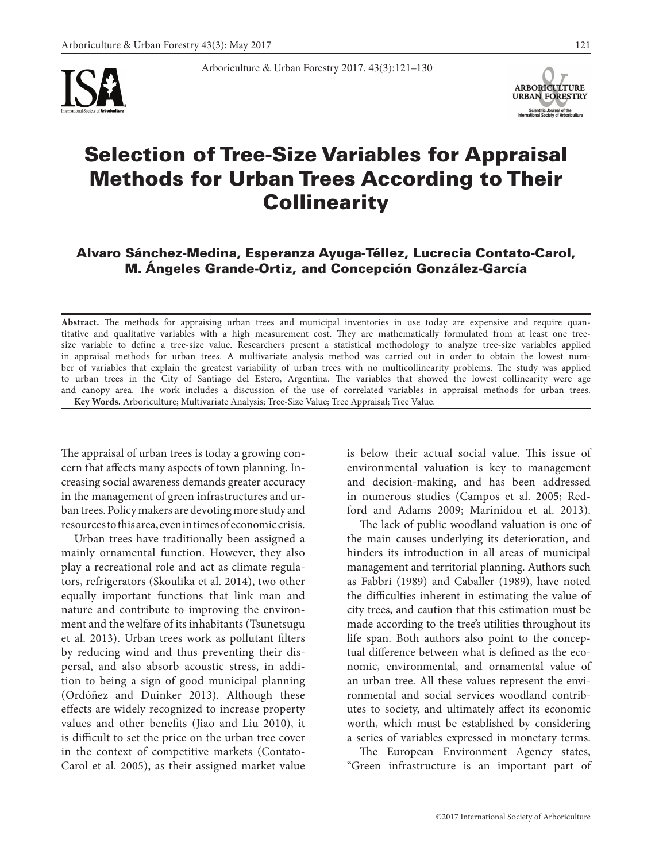



# Selection of Tree-Size Variables for Appraisal Methods for Urban Trees According to Their **Collinearity**

Arboriculture & Urban Forestry 2017. 43(3):121–130

# Alvaro Sánchez-Medina, Esperanza Ayuga-Téllez, Lucrecia Contato-Carol, M. Ángeles Grande-Ortiz, and Concepción González-García

**Abstract.** The methods for appraising urban trees and municipal inventories in use today are expensive and require quantitative and qualitative variables with a high measurement cost. They are mathematically formulated from at least one treesize variable to define a tree-size value. Researchers present a statistical methodology to analyze tree-size variables applied in appraisal methods for urban trees. A multivariate analysis method was carried out in order to obtain the lowest number of variables that explain the greatest variability of urban trees with no multicollinearity problems. The study was applied to urban trees in the City of Santiago del Estero, Argentina. The variables that showed the lowest collinearity were age and canopy area. The work includes a discussion of the use of correlated variables in appraisal methods for urban trees. **Key Words.** Arboriculture; Multivariate Analysis; Tree-Size Value; Tree Appraisal; Tree Value.

The appraisal of urban trees is today a growing concern that affects many aspects of town planning. Increasing social awareness demands greater accuracy in the management of green infrastructures and urban trees. Policy makers are devoting more study and resources to this area, even in times of economic crisis.

Urban trees have traditionally been assigned a mainly ornamental function. However, they also play a recreational role and act as climate regulators, refrigerators (Skoulika et al. 2014), two other equally important functions that link man and nature and contribute to improving the environment and the welfare of its inhabitants (Tsunetsugu et al. 2013). Urban trees work as pollutant filters by reducing wind and thus preventing their dispersal, and also absorb acoustic stress, in addition to being a sign of good municipal planning (Ordóñez and Duinker 2013). Although these effects are widely recognized to increase property values and other benefits (Jiao and Liu 2010), it is difficult to set the price on the urban tree cover in the context of competitive markets (Contato-Carol et al. 2005), as their assigned market value is below their actual social value. This issue of environmental valuation is key to management and decision-making, and has been addressed in numerous studies (Campos et al. 2005; Redford and Adams 2009; Marinidou et al. 2013).

The lack of public woodland valuation is one of the main causes underlying its deterioration, and hinders its introduction in all areas of municipal management and territorial planning. Authors such as Fabbri (1989) and Caballer (1989), have noted the difficulties inherent in estimating the value of city trees, and caution that this estimation must be made according to the tree's utilities throughout its life span. Both authors also point to the conceptual difference between what is defined as the economic, environmental, and ornamental value of an urban tree. All these values represent the environmental and social services woodland contributes to society, and ultimately affect its economic worth, which must be established by considering a series of variables expressed in monetary terms.

The European Environment Agency states, "Green infrastructure is an important part of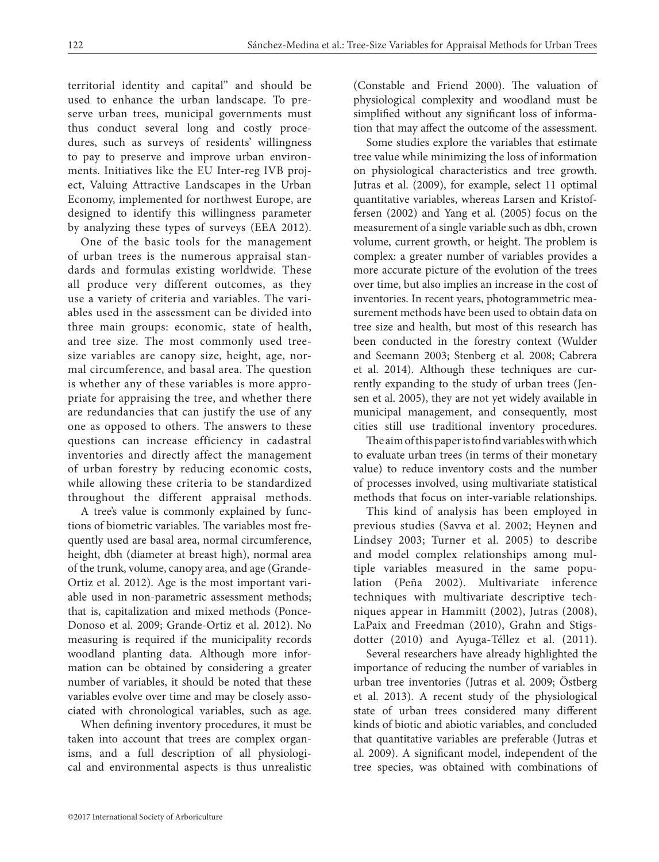territorial identity and capital" and should be used to enhance the urban landscape. To preserve urban trees, municipal governments must thus conduct several long and costly procedures, such as surveys of residents' willingness to pay to preserve and improve urban environments. Initiatives like the EU Inter-reg IVB project, Valuing Attractive Landscapes in the Urban Economy, implemented for northwest Europe, are designed to identify this willingness parameter by analyzing these types of surveys (EEA 2012).

One of the basic tools for the management of urban trees is the numerous appraisal standards and formulas existing worldwide. These all produce very different outcomes, as they use a variety of criteria and variables. The variables used in the assessment can be divided into three main groups: economic, state of health, and tree size. The most commonly used treesize variables are canopy size, height, age, normal circumference, and basal area. The question is whether any of these variables is more appropriate for appraising the tree, and whether there are redundancies that can justify the use of any one as opposed to others. The answers to these questions can increase efficiency in cadastral inventories and directly affect the management of urban forestry by reducing economic costs, while allowing these criteria to be standardized throughout the different appraisal methods.

A tree's value is commonly explained by functions of biometric variables. The variables most frequently used are basal area, normal circumference, height, dbh (diameter at breast high), normal area of the trunk, volume, canopy area, and age (Grande-Ortiz et al. 2012). Age is the most important variable used in non-parametric assessment methods; that is, capitalization and mixed methods (Ponce-Donoso et al. 2009; Grande-Ortiz et al. 2012). No measuring is required if the municipality records woodland planting data. Although more information can be obtained by considering a greater number of variables, it should be noted that these variables evolve over time and may be closely associated with chronological variables, such as age.

When defining inventory procedures, it must be taken into account that trees are complex organisms, and a full description of all physiological and environmental aspects is thus unrealistic

(Constable and Friend 2000). The valuation of physiological complexity and woodland must be simplified without any significant loss of information that may affect the outcome of the assessment.

Some studies explore the variables that estimate tree value while minimizing the loss of information on physiological characteristics and tree growth. Jutras et al. (2009), for example, select 11 optimal quantitative variables, whereas Larsen and Kristoffersen (2002) and Yang et al. (2005) focus on the measurement of a single variable such as dbh, crown volume, current growth, or height. The problem is complex: a greater number of variables provides a more accurate picture of the evolution of the trees over time, but also implies an increase in the cost of inventories. In recent years, photogrammetric measurement methods have been used to obtain data on tree size and health, but most of this research has been conducted in the forestry context (Wulder and Seemann 2003; Stenberg et al. 2008; Cabrera et al. 2014). Although these techniques are currently expanding to the study of urban trees (Jensen et al. 2005), they are not yet widely available in municipal management, and consequently, most cities still use traditional inventory procedures.

The aim of this paper is to find variables with which to evaluate urban trees (in terms of their monetary value) to reduce inventory costs and the number of processes involved, using multivariate statistical methods that focus on inter-variable relationships.

This kind of analysis has been employed in previous studies (Savva et al. 2002; Heynen and Lindsey 2003; Turner et al. 2005) to describe and model complex relationships among multiple variables measured in the same population (Peña 2002). Multivariate inference techniques with multivariate descriptive techniques appear in Hammitt (2002), Jutras (2008), LaPaix and Freedman (2010), Grahn and Stigsdotter (2010) and Ayuga-Téllez et al. (2011).

Several researchers have already highlighted the importance of reducing the number of variables in urban tree inventories (Jutras et al. 2009; Östberg et al. 2013). A recent study of the physiological state of urban trees considered many different kinds of biotic and abiotic variables, and concluded that quantitative variables are preferable (Jutras et al. 2009). A significant model, independent of the tree species, was obtained with combinations of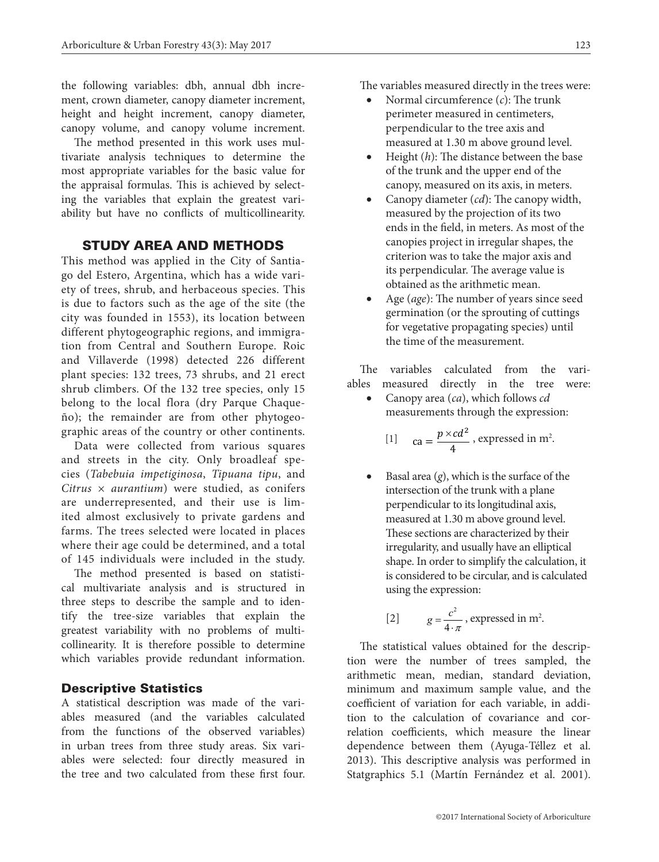the following variables: dbh, annual dbh increment, crown diameter, canopy diameter increment, height and height increment, canopy diameter, canopy volume, and canopy volume increment.

The method presented in this work uses multivariate analysis techniques to determine the most appropriate variables for the basic value for the appraisal formulas. This is achieved by selecting the variables that explain the greatest variability but have no conflicts of multicollinearity.

# STUDY AREA AND METHODS

This method was applied in the City of Santiago del Estero, Argentina, which has a wide variety of trees, shrub, and herbaceous species. This is due to factors such as the age of the site (the city was founded in 1553), its location between different phytogeographic regions, and immigration from Central and Southern Europe. Roic and Villaverde (1998) detected 226 different plant species:  $132$  trees,  $73$  shrubs, and  $21$  erect charb directed at  $22$  *kpc cancer*  $\alpha$  *p*<sup>*x*</sup> *p*<sup>*x*</sup> *p*<sup>*x*</sup> *p*<sup>*x*</sup> *p*<sup>*x*</sup> *p*<sup>*x*</sup> *p*<sup>*x*</sup> *p*<sup>*x*</sup> *p*<sup>*x*</sup> *p*<sup>*x*</sup> *p*<sup>*x*</sup> *p*<sup>*x*</sup> *p*<sup>*x*</sup> *p*<sup>*</sup>* shrub climbers. Of the 132 tree species, only 15 4 belong to the local flora (dry Parque Chaqueño); the remainder are from other phytogeographic areas of the country or other continents.

Data were collected from various squares and streets in the city. Only broadleaf species (*Tabebuia impetiginosa*, *Tipuana tipu*, and  $Citrus \times auration$  were studied, as conifers are underrepresented, and their use is limited almost exclusively to private gardens and 2 *c g* thed almost exclusively to private gardens and<br>farms. The trees selected were located in places where their age could be determined, and a total of 145 individuals were included in the study.

The method presented is based on statistical multivariate analysis and is structured in three steps to describe the sample and to iden-<br>*tify* the tree size variables that evaluate the tify the tree-size variables that explain the greatest variability with no problems of multicollinearity. It is therefore possible to determine which variables provide redundant information.

## Descriptive Statistics

A statistical description was made of the variables measured (and the variables calculated from the functions of the observed variables) in urban trees from three study areas. Six variables were selected: four directly measured in the tree and two calculated from these first four. The variables measured directly in the trees were:

- Normal circumference  $(c)$ : The trunk perimeter measured in centimeters, perpendicular to the tree axis and measured at 1.30 m above ground level.
- • Height (*h*): The distance between the base of the trunk and the upper end of the canopy, measured on its axis, in meters.
- • Canopy diameter (*cd*): The canopy width, measured by the projection of its two ends in the field, in meters. As most of the canopies project in irregular shapes, the criterion was to take the major axis and its perpendicular. The average value is obtained as the arithmetic mean.
- Age (*age*): The number of years since seed germination (or the sprouting of cuttings for vegetative propagating species) until the time of the measurement.

The variables calculated from the variables measured directly in the tree were:

• Canopy area (*ca*), which follows *cd* measurements through the expression:

[1] 
$$
ca = \frac{p \times cd^2}{4}
$$
, expressed in m<sup>2</sup>.

• Basal area  $(g)$ , which is the surface of the intersection of the trunk with a plane<br>*perpendicular to its longitudinal aris* perpendicular to its longitudinal axis, 4 measured at 1.30 m above ground level. These sections are characterized by their irregularity, and usually have an elliptical shape. In order to simplify the calculation, it is considered to be circular, and is calculated using the expression:

[2] 
$$
g = \frac{c^2}{4 \cdot \pi}
$$
, expressed in m<sup>2</sup>.

The statistical values obtained for the description were the number of trees sampled, the arithmetic mean, median, standard deviation, minimum and maximum sample value, and the coefficient of variation for each variable, in addition to the calculation of covariance and correlation coefficients, which measure the linear dependence between them (Ayuga-Téllez et al. 2013). This descriptive analysis was performed in Statgraphics 5.1 (Martín Fernández et al. 2001).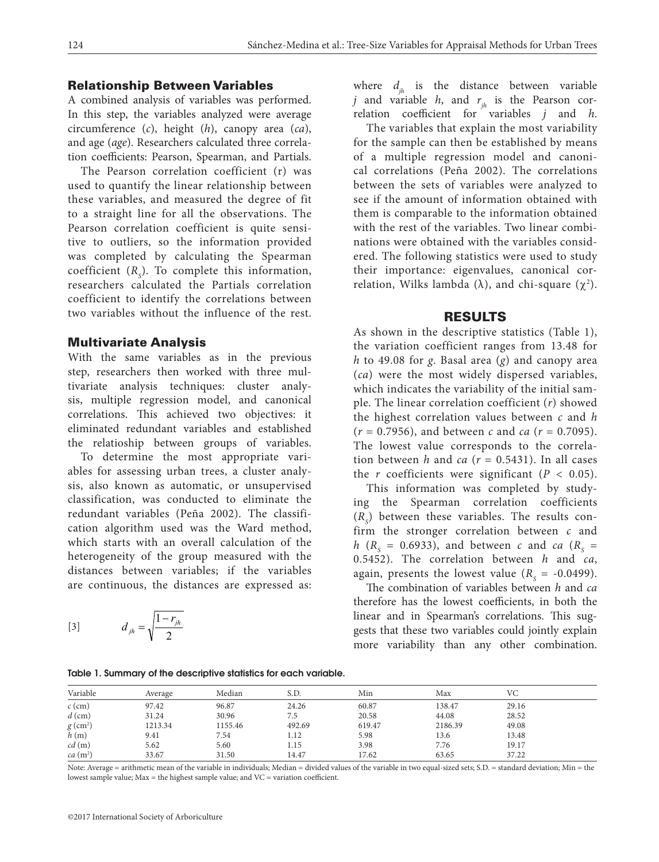#### Relationship Between Variables

A combined analysis of variables was performed. In this step, the variables analyzed were average circumference (*c*), height (*h*), canopy area (*ca*), and age (*age*). Researchers calculated three correlation coefficients: Pearson, Spearman, and Partials.

The Pearson correlation coefficient (r) was used to quantify the linear relationship between these variables, and measured the degree of fit to a straight line for all the observations. The Pearson correlation coefficient is quite sensitive to outliers, so the information provided was completed by calculating the Spearman  $coefficient (R<sub>s</sub>)$ . To complete this information, researchers calculated the Partials correlation coefficient to identify the correlations between two variables without the influence of the rest.

#### Multivariate Analysis

With the same variables as in the previous step, researchers then worked with three multivariate analysis techniques: cluster analytivariate analysis techniques: cluster analy-<br>sis, multiple regression model, and canonical correlations. This achieved two objectives: it eliminated redundant variables and established the relatioship between groups of variables.

To determine the most appropriate variables for assessing urban trees, a cluster analysis, also known as automatic, or unsupervised classification, was conducted to eliminate the edundant variables (Peña 2002). The classification algorithm used was the Ward method, 2 *c* which starts with an overall calculation of the hataraganeity of the group measured with the heterogeneity of the group measured with the distances between variables; if the variables are continuous, the distances are expressed as:

$$
[3] \t d_{jh} = \sqrt{\frac{1 - r_{jh}}{2}}
$$

where  $d_{ih}$  is the distance between variable *j* and variable *h*, and  $r_{ih}$  is the Pearson correlation coefficient for variables *j* and *h*.

The variables that explain the most variability for the sample can then be established by means of a multiple regression model and canonical correlations (Peña 2002). The correlations between the sets of variables were analyzed to see if the amount of information obtained with them is comparable to the information obtained with the rest of the variables. Two linear combinations were obtained with the variables considered. The following statistics were used to study their importance: eigenvalues, canonical correlation, Wilks lambda ( $\lambda$ ), and chi-square ( $\chi^2$ ).

#### RESULTS

As shown in the descriptive statistics (Table 1), the variation coefficient ranges from 13.48 for *h* to 49.08 for *g*. Basal area (*g*) and canopy area (*ca*) were the most widely dispersed variables, which indicates the variability of the initial sample. The linear correlation coefficient (*r*) showed the highest correlation values between *c* and *h* (*r* = 0.7956), and between *c* and *ca* (*r* = 0.7095). The lowest value corresponds to the correlathe lowest value corresponds to the correla-<br>tion between *h* and *ca* ( $r = 0.5431$ ). In all cases the *r* coefficients were significant ( $P < 0.05$ ).

This information was completed by studying the Spearman correlation coefficients  $(R<sub>s</sub>)$  between these variables. The results confirm the stronger correlation between *c* and  $h$  ( $R_s$  = 0.6933), and between *c* and *ca* ( $R_s$  = 0.5452). The correlation between *h* and *ca*, again, presents the lowest value  $(R_s = -0.0499)$ .

The combination of variables between *h* and *ca* therefore has the lowest coefficients, in both the linear and in Spearman's correlations. This suggests that these two variables could jointly explain more variability than any other combination.

Table 1. Summary of the descriptive statistics for each variable.

| Variable               | Average | Median  | S.D.   | Min    | Max     | VC    |  |
|------------------------|---------|---------|--------|--------|---------|-------|--|
| $c$ (cm)               | 97.42   | 96.87   | 24.26  | 60.87  | 138.47  | 29.16 |  |
| $d$ (cm)               | 31.24   | 30.96   | 7.5    | 20.58  | 44.08   | 28.52 |  |
| $g \text{ (cm}^2)$     | 1213.34 | 1155.46 | 492.69 | 619.47 | 2186.39 | 49.08 |  |
| h(m)                   | 9.41    | 7.54    | 1.12   | 5.98   | 13.6    | 13.48 |  |
| cd(m)                  | 5.62    | 5.60    | 1.15   | 3.98   | 7.76    | 19.17 |  |
| $ca$ (m <sup>2</sup> ) | 33.67   | 31.50   | 14.47  | 17.62  | 63.65   | 37.22 |  |

Note: Average = arithmetic mean of the variable in individuals; Median = divided values of the variable in two equal-sized sets; S.D. = standard deviation; Min = the lowest sample value; Max = the highest sample value; and VC = variation coefficient.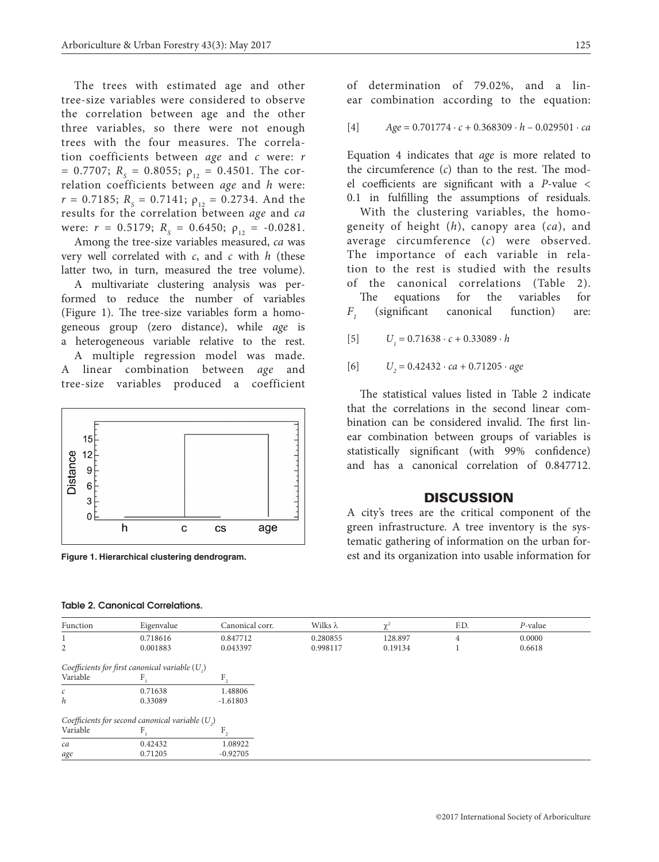The trees with estimated age and other tree-size variables were considered to observe the correlation between age and the other three variables, so there were not enough trees with the four measures. The correlation coefficients between *age* and *c* were: *r*  $= 0.7707; R<sub>S</sub> = 0.8055; \rho<sub>12</sub> = 0.4501.$  The correlation coefficients between *age* and *h* were:  $r = 0.7185$ ;  $R_s = 0.7141$ ;  $\rho_{12} = 0.2734$ . And the results for the correlation between *age* and *ca* were:  $r = 0.5179$ ;  $R<sub>S</sub> = 0.6450$ ;  $\rho<sub>12</sub> = -0.0281$ .

Among the tree-size variables measured, *ca* was very well correlated with *c*, and *c* with *h* (these latter two, in turn, measured the tree volume).

A multivariate clustering analysis was performed to reduce the number of variables (Figure 1). The tree-size variables form a homogeneous group (zero distance), while *age* is a heterogeneous variable relative to the rest.

A multiple regression model was made. A linear combination between *age* and tree-size variables produced a coefficient



**Figure 1. Hierarchical clustering dendrogram.**

#### Table 2. Canonical Correlations.

of determination of 79.02%, and a lin-

ear combination according to the equation:

[4] *Age* = 0.701774 ∙ *c* + 0.368309 ∙ *h* – 0.029501 ∙ *ca*

Equation 4 indicates that *age* is more related to the circumference (*c*) than to the rest. The model coefficients are significant with a *P*-value < 0.1 in fulfilling the assumptions of residuals.

With the clustering variables, the homogeneity of height (*h*), canopy area (*ca*), and average circumference (*c*) were observed. The importance of each variable in relation to the rest is studied with the results of the canonical correlations (Table 2).

The equations for the variables for *F1* (significant canonical function) are:

 $[5]$  $U_i = 0.71638 \cdot c + 0.33089 \cdot h$ 

 $[6]$ = 0.42432 ∙ *ca* + 0.71205 ∙ *age*

The statistical values listed in Table 2 indicate that the correlations in the second linear combination can be considered invalid. The first linear combination between groups of variables is statistically significant (with 99% confidence) and has a canonical correlation of 0.847712.

### **DISCUSSION**

A city's trees are the critical component of the green infrastructure. A tree inventory is the systematic gathering of information on the urban forest and its organization into usable information for

| Function      | Eigenvalue                                         | Canonical corr. | Wilks $\lambda$ | $\chi^2$ | F.D.           | $P$ -value |
|---------------|----------------------------------------------------|-----------------|-----------------|----------|----------------|------------|
|               | 0.718616                                           | 0.847712        | 0.280855        | 128.897  | $\overline{4}$ | 0.0000     |
| 2             | 0.001883                                           | 0.043397        | 0.998117        | 0.19134  |                | 0.6618     |
|               | Coefficients for first canonical variable $(U, )$  |                 |                 |          |                |            |
| Variable      |                                                    | F,              |                 |          |                |            |
| $\mathcal{C}$ | 0.71638                                            | 1.48806         |                 |          |                |            |
| h             | 0.33089                                            | $-1.61803$      |                 |          |                |            |
|               | Coefficients for second canonical variable $(U, )$ |                 |                 |          |                |            |
| Variable      |                                                    | F.              |                 |          |                |            |
| ca            | 0.42432                                            | 1.08922         |                 |          |                |            |
| age           | 0.71205                                            | $-0.92705$      |                 |          |                |            |

#### ©2017 International Society of Arboriculture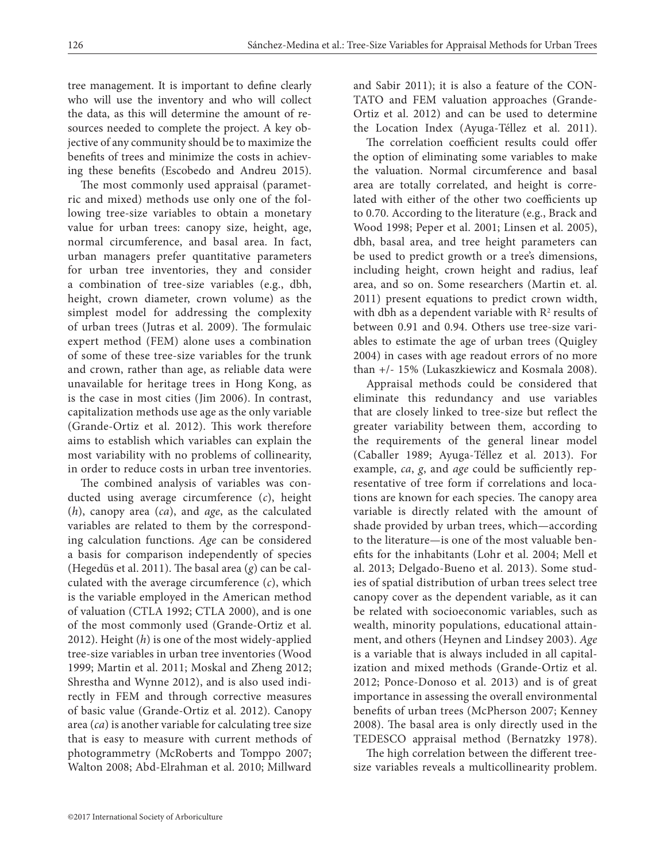tree management. It is important to define clearly who will use the inventory and who will collect the data, as this will determine the amount of resources needed to complete the project. A key objective of any community should be to maximize the benefits of trees and minimize the costs in achieving these benefits (Escobedo and Andreu 2015).

The most commonly used appraisal (parametric and mixed) methods use only one of the following tree-size variables to obtain a monetary value for urban trees: canopy size, height, age, normal circumference, and basal area. In fact, urban managers prefer quantitative parameters for urban tree inventories, they and consider a combination of tree-size variables (e.g., dbh, height, crown diameter, crown volume) as the simplest model for addressing the complexity of urban trees (Jutras et al. 2009). The formulaic expert method (FEM) alone uses a combination of some of these tree-size variables for the trunk and crown, rather than age, as reliable data were unavailable for heritage trees in Hong Kong, as is the case in most cities (Jim 2006). In contrast, capitalization methods use age as the only variable (Grande-Ortiz et al. 2012). This work therefore aims to establish which variables can explain the most variability with no problems of collinearity, in order to reduce costs in urban tree inventories.

The combined analysis of variables was conducted using average circumference (*c*), height (*h*), canopy area (*ca*), and *age*, as the calculated variables are related to them by the corresponding calculation functions. *Age* can be considered a basis for comparison independently of species (Hegedüs et al. 2011). The basal area (*g*) can be calculated with the average circumference (*c*), which is the variable employed in the American method of valuation (CTLA 1992; CTLA 2000), and is one of the most commonly used (Grande-Ortiz et al. 2012). Height (*h*) is one of the most widely-applied tree-size variables in urban tree inventories (Wood 1999; Martin et al. 2011; Moskal and Zheng 2012; Shrestha and Wynne 2012), and is also used indirectly in FEM and through corrective measures of basic value (Grande-Ortiz et al. 2012). Canopy area (*ca*) is another variable for calculating tree size that is easy to measure with current methods of photogrammetry (McRoberts and Tomppo 2007; Walton 2008; Abd-Elrahman et al. 2010; Millward

and Sabir 2011); it is also a feature of the CON-TATO and FEM valuation approaches (Grande-Ortiz et al. 2012) and can be used to determine the Location Index (Ayuga-Téllez et al. 2011).

The correlation coefficient results could offer the option of eliminating some variables to make the valuation. Normal circumference and basal area are totally correlated, and height is correlated with either of the other two coefficients up to 0.70. According to the literature (e.g., Brack and Wood 1998; Peper et al. 2001; Linsen et al. 2005), dbh, basal area, and tree height parameters can be used to predict growth or a tree's dimensions, including height, crown height and radius, leaf area, and so on. Some researchers (Martin et. al. 2011) present equations to predict crown width, with dbh as a dependent variable with  $\mathbb{R}^2$  results of between 0.91 and 0.94. Others use tree-size variables to estimate the age of urban trees (Quigley 2004) in cases with age readout errors of no more than +/- 15% (Lukaszkiewicz and Kosmala 2008).

Appraisal methods could be considered that eliminate this redundancy and use variables that are closely linked to tree-size but reflect the greater variability between them, according to the requirements of the general linear model (Caballer 1989; Ayuga-Téllez et al. 2013). For example, *ca*, *g*, and *age* could be sufficiently representative of tree form if correlations and locations are known for each species. The canopy area variable is directly related with the amount of shade provided by urban trees, which—according to the literature—is one of the most valuable benefits for the inhabitants (Lohr et al. 2004; Mell et al. 2013; Delgado-Bueno et al. 2013). Some studies of spatial distribution of urban trees select tree canopy cover as the dependent variable, as it can be related with socioeconomic variables, such as wealth, minority populations, educational attainment, and others (Heynen and Lindsey 2003). *Age* is a variable that is always included in all capitalization and mixed methods (Grande-Ortiz et al. 2012; Ponce-Donoso et al. 2013) and is of great importance in assessing the overall environmental benefits of urban trees (McPherson 2007; Kenney 2008). The basal area is only directly used in the TEDESCO appraisal method (Bernatzky 1978).

The high correlation between the different treesize variables reveals a multicollinearity problem.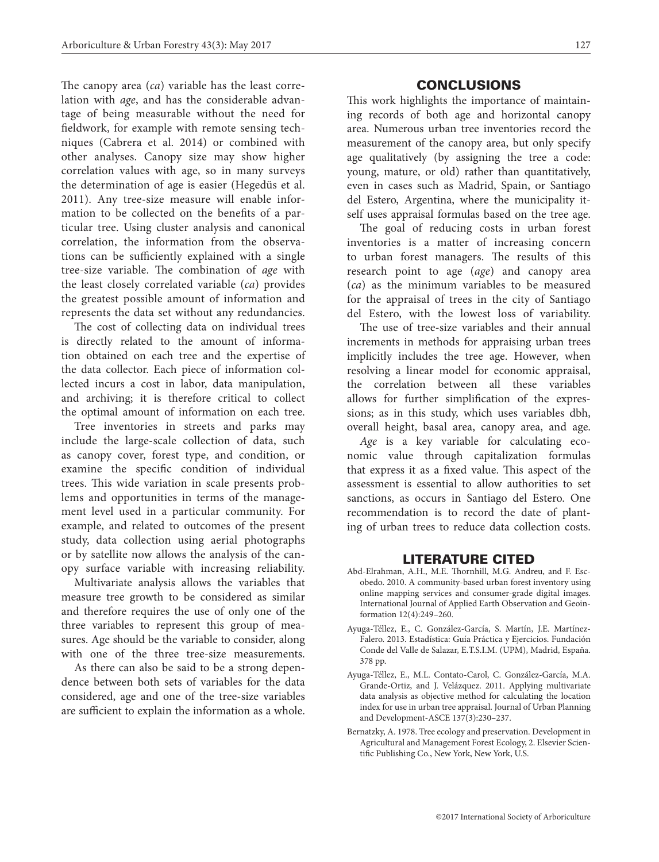The canopy area (*ca*) variable has the least correlation with *age*, and has the considerable advantage of being measurable without the need for fieldwork, for example with remote sensing techniques (Cabrera et al. 2014) or combined with other analyses. Canopy size may show higher correlation values with age, so in many surveys the determination of age is easier (Hegedüs et al. 2011). Any tree-size measure will enable information to be collected on the benefits of a particular tree. Using cluster analysis and canonical correlation, the information from the observations can be sufficiently explained with a single tree-size variable. The combination of *age* with the least closely correlated variable (*ca*) provides the greatest possible amount of information and represents the data set without any redundancies.

The cost of collecting data on individual trees is directly related to the amount of information obtained on each tree and the expertise of the data collector. Each piece of information collected incurs a cost in labor, data manipulation, and archiving; it is therefore critical to collect the optimal amount of information on each tree.

Tree inventories in streets and parks may include the large-scale collection of data, such as canopy cover, forest type, and condition, or examine the specific condition of individual trees. This wide variation in scale presents problems and opportunities in terms of the management level used in a particular community. For example, and related to outcomes of the present study, data collection using aerial photographs or by satellite now allows the analysis of the canopy surface variable with increasing reliability.

Multivariate analysis allows the variables that measure tree growth to be considered as similar and therefore requires the use of only one of the three variables to represent this group of measures. Age should be the variable to consider, along with one of the three tree-size measurements.

As there can also be said to be a strong dependence between both sets of variables for the data considered, age and one of the tree-size variables are sufficient to explain the information as a whole.

# CONCLUSIONS

This work highlights the importance of maintaining records of both age and horizontal canopy area. Numerous urban tree inventories record the measurement of the canopy area, but only specify age qualitatively (by assigning the tree a code: young, mature, or old) rather than quantitatively, even in cases such as Madrid, Spain, or Santiago del Estero, Argentina, where the municipality itself uses appraisal formulas based on the tree age.

The goal of reducing costs in urban forest inventories is a matter of increasing concern to urban forest managers. The results of this research point to age (*age*) and canopy area (*ca*) as the minimum variables to be measured for the appraisal of trees in the city of Santiago del Estero, with the lowest loss of variability.

The use of tree-size variables and their annual increments in methods for appraising urban trees implicitly includes the tree age. However, when resolving a linear model for economic appraisal, the correlation between all these variables allows for further simplification of the expressions; as in this study, which uses variables dbh, overall height, basal area, canopy area, and age.

*Age* is a key variable for calculating economic value through capitalization formulas that express it as a fixed value. This aspect of the assessment is essential to allow authorities to set sanctions, as occurs in Santiago del Estero. One recommendation is to record the date of planting of urban trees to reduce data collection costs.

## LITERATURE CITED

- Abd-Elrahman, A.H., M.E. Thornhill, M.G. Andreu, and F. Escobedo. 2010. A community-based urban forest inventory using online mapping services and consumer-grade digital images. International Journal of Applied Earth Observation and Geoinformation 12(4):249–260.
- Ayuga-Téllez, E., C. González-García, S. Martín, J.E. Martínez-Falero. 2013. Estadística: Guía Práctica y Ejercicios. Fundación Conde del Valle de Salazar, E.T.S.I.M. (UPM), Madrid, España. 378 pp.
- Ayuga-Téllez, E., M.L. Contato-Carol, C. González-García, M.A. Grande-Ortiz, and J. Velázquez. 2011. Applying multivariate data analysis as objective method for calculating the location index for use in urban tree appraisal. Journal of Urban Planning and Development-ASCE 137(3):230–237.
- Bernatzky, A. 1978. Tree ecology and preservation. Development in Agricultural and Management Forest Ecology, 2. Elsevier Scientific Publishing Co., New York, New York, U.S.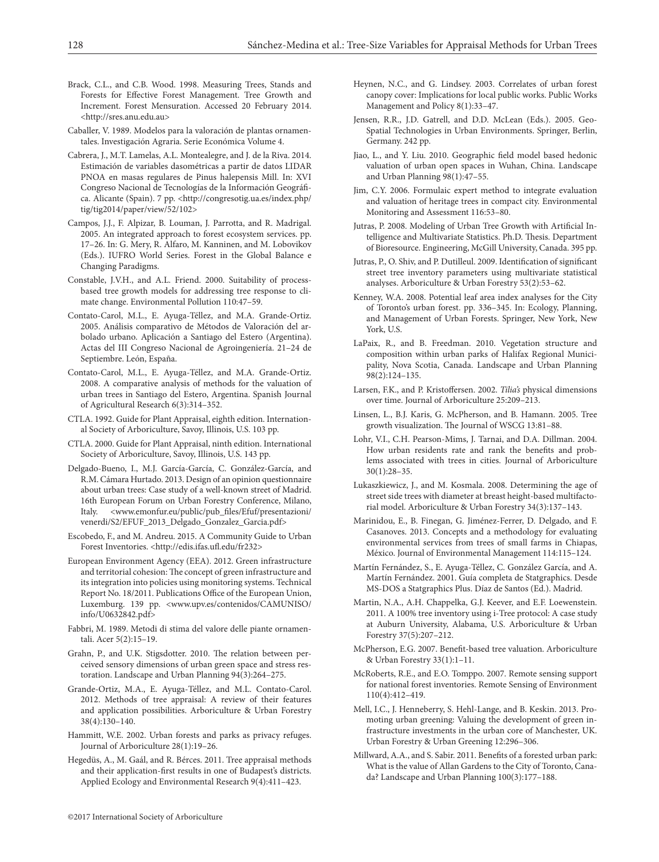- Brack, C.L., and C.B. Wood. 1998. Measuring Trees, Stands and Forests for Effective Forest Management. Tree Growth and Increment. Forest Mensuration. Accessed 20 February 2014. <http://sres.anu.edu.au>
- Caballer, V. 1989. Modelos para la valoración de plantas ornamentales. Investigación Agraria. Serie Económica Volume 4.
- Cabrera, J., M.T. Lamelas, A.L. Montealegre, and J. de la Riva. 2014. Estimación de variables dasométricas a partir de datos LIDAR PNOA en masas regulares de Pinus halepensis Mill. In: XVI Congreso Nacional de Tecnologías de la Información Geográfica. Alicante (Spain). 7 pp. <http://congresotig.ua.es/index.php/ tig/tig2014/paper/view/52/102>
- Campos, J.J., F. Alpizar, B. Louman, J. Parrotta, and R. Madrigal. 2005. An integrated approach to forest ecosystem services. pp. 17–26. In: G. Mery, R. Alfaro, M. Kanninen, and M. Lobovikov (Eds.). IUFRO World Series. Forest in the Global Balance e Changing Paradigms.
- Constable, J.V.H., and A.L. Friend. 2000. Suitability of processbased tree growth models for addressing tree response to climate change. Environmental Pollution 110:47–59.
- Contato-Carol, M.L., E. Ayuga-Téllez, and M.A. Grande-Ortiz. 2005. Análisis comparativo de Métodos de Valoración del arbolado urbano. Aplicación a Santiago del Estero (Argentina). Actas del III Congreso Nacional de Agroingeniería. 21–24 de Septiembre. León, España.
- Contato-Carol, M.L., E. Ayuga-Téllez, and M.A. Grande-Ortiz. 2008. A comparative analysis of methods for the valuation of urban trees in Santiago del Estero, Argentina. Spanish Journal of Agricultural Research 6(3):314–352.
- CTLA. 1992. Guide for Plant Appraisal, eighth edition. International Society of Arboriculture, Savoy, Illinois, U.S. 103 pp.
- CTLA. 2000. Guide for Plant Appraisal, ninth edition. International Society of Arboriculture, Savoy, Illinois, U.S. 143 pp.
- Delgado-Bueno, I., M.J. García-García, C. González-García, and R.M. Cámara Hurtado. 2013. Design of an opinion questionnaire about urban trees: Case study of a well-known street of Madrid. 16th European Forum on Urban Forestry Conference, Milano, Italy. <www.emonfur.eu/public/pub\_files/Efuf/presentazioni/ venerdi/S2/EFUF\_2013\_Delgado\_Gonzalez\_Garcia.pdf>
- Escobedo, F., and M. Andreu. 2015. A Community Guide to Urban Forest Inventories. <http://edis.ifas.ufl.edu/fr232>
- European Environment Agency (EEA). 2012. Green infrastructure and territorial cohesion: The concept of green infrastructure and its integration into policies using monitoring systems. Technical Report No. 18/2011. Publications Office of the European Union, Luxemburg. 139 pp. <www.upv.es/contenidos/CAMUNISO/ info/U0632842.pdf>
- Fabbri, M. 1989. Metodi di stima del valore delle piante ornamentali. Acer 5(2):15–19.
- Grahn, P., and U.K. Stigsdotter. 2010. The relation between perceived sensory dimensions of urban green space and stress restoration. Landscape and Urban Planning 94(3):264–275.
- Grande-Ortiz, M.A., E. Ayuga-Téllez, and M.L. Contato-Carol. 2012. Methods of tree appraisal: A review of their features and application possibilities. Arboriculture & Urban Forestry 38(4):130–140.
- Hammitt, W.E. 2002. Urban forests and parks as privacy refuges. Journal of Arboriculture 28(1):19–26.
- Hegedüs, A., M. Gaál, and R. Bérces. 2011. Tree appraisal methods and their application-first results in one of Budapest's districts. Applied Ecology and Environmental Research 9(4):411–423.
- Heynen, N.C., and G. Lindsey. 2003. Correlates of urban forest canopy cover: Implications for local public works. Public Works Management and Policy 8(1):33–47.
- Jensen, R.R., J.D. Gatrell, and D.D. McLean (Eds.). 2005. Geo-Spatial Technologies in Urban Environments. Springer, Berlin, Germany. 242 pp.
- Jiao, L., and Y. Liu. 2010. Geographic field model based hedonic valuation of urban open spaces in Wuhan, China. Landscape and Urban Planning 98(1):47–55.
- Jim, C.Y. 2006. Formulaic expert method to integrate evaluation and valuation of heritage trees in compact city. Environmental Monitoring and Assessment 116:53–80.
- Jutras, P. 2008. Modeling of Urban Tree Growth with Artificial Intelligence and Multivariate Statistics. Ph.D. Thesis. Department of Bioresource. Engineering, McGill University, Canada. 395 pp.
- Jutras, P., O. Shiv, and P. Dutilleul. 2009. Identification of significant street tree inventory parameters using multivariate statistical analyses. Arboriculture & Urban Forestry 53(2):53–62.
- Kenney, W.A. 2008. Potential leaf area index analyses for the City of Toronto's urban forest. pp. 336–345. In: Ecology, Planning, and Management of Urban Forests. Springer, New York, New York, U.S.
- LaPaix, R., and B. Freedman. 2010. Vegetation structure and composition within urban parks of Halifax Regional Municipality, Nova Scotia, Canada. Landscape and Urban Planning 98(2):124–135.
- Larsen, F.K., and P. Kristoffersen. 2002. *Tilia's* physical dimensions over time. Journal of Arboriculture 25:209–213.
- Linsen, L., B.J. Karis, G. McPherson, and B. Hamann. 2005. Tree growth visualization. The Journal of WSCG 13:81–88.
- Lohr, V.I., C.H. Pearson-Mims, J. Tarnai, and D.A. Dillman. 2004. How urban residents rate and rank the benefits and problems associated with trees in cities. Journal of Arboriculture 30(1):28–35.
- Lukaszkiewicz, J., and M. Kosmala. 2008. Determining the age of street side trees with diameter at breast height-based multifactorial model. Arboriculture & Urban Forestry 34(3):137–143.
- Marinidou, E., B. Finegan, G. Jiménez-Ferrer, D. Delgado, and F. Casanoves. 2013. Concepts and a methodology for evaluating environmental services from trees of small farms in Chiapas, México. Journal of Environmental Management 114:115–124.
- Martín Fernández, S., E. Ayuga-Téllez, C. González García, and A. Martín Fernández. 2001. Guía completa de Statgraphics. Desde MS-DOS a Statgraphics Plus. Díaz de Santos (Ed.). Madrid.
- Martin, N.A., A.H. Chappelka, G.J. Keever, and E.F. Loewenstein. 2011. A 100% tree inventory using i-Tree protocol: A case study at Auburn University, Alabama, U.S. Arboriculture & Urban Forestry 37(5):207–212.
- McPherson, E.G. 2007. Benefit-based tree valuation. Arboriculture & Urban Forestry 33(1):1–11.
- McRoberts, R.E., and E.O. Tomppo. 2007. Remote sensing support for national forest inventories. Remote Sensing of Environment 110(4):412–419.
- Mell, I.C., J. Henneberry, S. Hehl-Lange, and B. Keskin. 2013. Promoting urban greening: Valuing the development of green infrastructure investments in the urban core of Manchester, UK. Urban Forestry & Urban Greening 12:296–306.
- Millward, A.A., and S. Sabir. 2011. Benefits of a forested urban park: What is the value of Allan Gardens to the City of Toronto, Canada? Landscape and Urban Planning 100(3):177–188.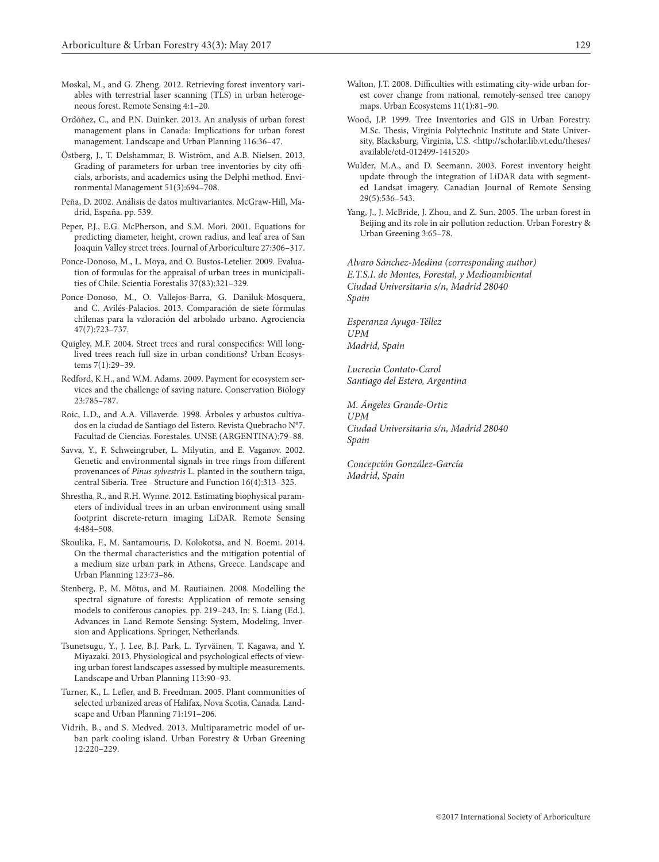- Moskal, M., and G. Zheng. 2012. Retrieving forest inventory variables with terrestrial laser scanning (TLS) in urban heterogeneous forest. Remote Sensing 4:1–20.
- Ordóñez, C., and P.N. Duinker. 2013. An analysis of urban forest management plans in Canada: Implications for urban forest management. Landscape and Urban Planning 116:36–47.
- Östberg, J., T. Delshammar, B. Wiström, and A.B. Nielsen. 2013. Grading of parameters for urban tree inventories by city officials, arborists, and academics using the Delphi method. Environmental Management 51(3):694–708.
- Peña, D. 2002. Análisis de datos multivariantes. McGraw-Hill, Madrid, España. pp. 539.
- Peper, P.J., E.G. McPherson, and S.M. Mori. 2001. Equations for predicting diameter, height, crown radius, and leaf area of San Joaquin Valley street trees. Journal of Arboriculture 27:306–317.
- Ponce-Donoso, M., L. Moya, and O. Bustos-Letelier. 2009. Evaluation of formulas for the appraisal of urban trees in municipalities of Chile. Scientia Forestalis 37(83):321–329.
- Ponce-Donoso, M., O. Vallejos-Barra, G. Daniluk-Mosquera, and C. Avilés-Palacios. 2013. Comparación de siete fórmulas chilenas para la valoración del arbolado urbano. Agrociencia 47(7):723–737.
- Quigley, M.F. 2004. Street trees and rural conspecifics: Will longlived trees reach full size in urban conditions? Urban Ecosystems 7(1):29–39.
- Redford, K.H., and W.M. Adams. 2009. Payment for ecosystem services and the challenge of saving nature. Conservation Biology 23:785–787.
- Roic, L.D., and A.A. Villaverde. 1998. Árboles y arbustos cultivados en la ciudad de Santiago del Estero. Revista Quebracho N°7. Facultad de Ciencias. Forestales. UNSE (ARGENTINA):79–88.
- Savva, Y., F. Schweingruber, L. Milyutin, and E. Vaganov. 2002. Genetic and environmental signals in tree rings from different provenances of *Pinus sylvestris* L. planted in the southern taiga, central Siberia. Tree - Structure and Function 16(4):313–325.
- Shrestha, R., and R.H. Wynne. 2012. Estimating biophysical parameters of individual trees in an urban environment using small footprint discrete-return imaging LiDAR. Remote Sensing 4:484–508.
- Skoulika, F., M. Santamouris, D. Kolokotsa, and N. Boemi. 2014. On the thermal characteristics and the mitigation potential of a medium size urban park in Athens, Greece. Landscape and Urban Planning 123:73–86.
- Stenberg, P., M. Mötus, and M. Rautiainen. 2008. Modelling the spectral signature of forests: Application of remote sensing models to coniferous canopies. pp. 219–243. In: S. Liang (Ed.). Advances in Land Remote Sensing: System, Modeling, Inversion and Applications. Springer, Netherlands.
- Tsunetsugu, Y., J. Lee, B.J. Park, L. Tyrväinen, T. Kagawa, and Y. Miyazaki. 2013. Physiological and psychological effects of viewing urban forest landscapes assessed by multiple measurements. Landscape and Urban Planning 113:90–93.
- Turner, K., L. Lefler, and B. Freedman. 2005. Plant communities of selected urbanized areas of Halifax, Nova Scotia, Canada. Landscape and Urban Planning 71:191–206.
- Vidrih, B., and S. Medved. 2013. Multiparametric model of urban park cooling island. Urban Forestry & Urban Greening 12:220–229.
- Walton, J.T. 2008. Difficulties with estimating city-wide urban forest cover change from national, remotely-sensed tree canopy maps. Urban Ecosystems 11(1):81–90.
- Wood, J.P. 1999. Tree Inventories and GIS in Urban Forestry. M.Sc. Thesis, Virginia Polytechnic Institute and State University, Blacksburg, Virginia, U.S. <http://scholar.lib.vt.edu/theses/ available/etd-012499-141520>
- Wulder, M.A., and D. Seemann. 2003. Forest inventory height update through the integration of LiDAR data with segmented Landsat imagery. Canadian Journal of Remote Sensing 29(5):536–543.
- Yang, J., J. McBride, J. Zhou, and Z. Sun. 2005. The urban forest in Beijing and its role in air pollution reduction. Urban Forestry & Urban Greening 3:65–78.

*Alvaro Sánchez-Medina (corresponding author) E.T.S.I. de Montes, Forestal, y Medioambiental Ciudad Universitaria s/n, Madrid 28040 Spain*

*Esperanza Ayuga-Téllez UPM Madrid, Spain*

*Lucrecia Contato-Carol Santiago del Estero, Argentina*

*M. Ángeles Grande-Ortiz UPM Ciudad Universitaria s/n, Madrid 28040 Spain*

*Concepción González-García Madrid, Spain*